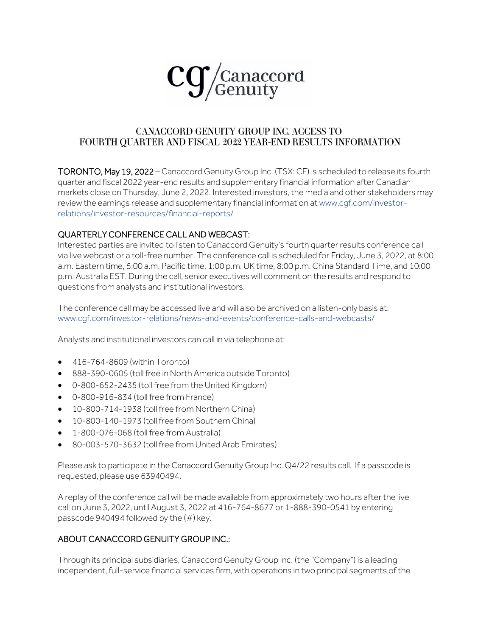

## CANACCORD GENUITY GROUP INC. ACCESS TO FOURTH QUARTER AND FISCAL 2022 YEAR-END RESULTS INFORMATION

TORONTO, May 19, 2022 – Canaccord Genuity Group Inc. (TSX: CF) is scheduled to release its fourth quarter and fiscal 2022 year-end results and supplementary financial information after Canadian markets close on Thursday, June 2, 2022. Interested investors, the media and other stakeholders may review the earnings release and supplementary financial information at [www.cgf.com/investor](http://www.cgf.com/investor-relations/investor-resources/financial-reports/)[relations/investor-resources/financial-reports/](http://www.cgf.com/investor-relations/investor-resources/financial-reports/)

## QUARTERLY CONFERENCE CALL AND WEBCAST:

Interested parties are invited to listen to Canaccord Genuity's fourth quarter results conference call via live webcast or a toll-free number. The conference call is scheduled for Friday, June 3, 2022, at 8:00 a.m. Eastern time, 5:00 a.m. Pacific time, 1:00 p.m. UK time, 8:00 p.m. China Standard Time, and 10:00 p.m. Australia EST.During the call, senior executives will comment on the results and respond to questions from analysts and institutional investors.

The conference call may be accessed live and will also be archived on a listen-only basis at: [www.cgf.com/investor-relations/news-and-events/conference-calls-and-webcasts/](http://www.cgf.com/investor-relations/news-and-events/conference-calls-and-webcasts/)

Analysts and institutional investors can call in via telephone at:

- 416-764-8609 (within Toronto)
- 888-390-0605 (toll free in North America outside Toronto)
- 0-800-652-2435 (toll free from the United Kingdom)
- 0-800-916-834 (toll free from France)
- 10-800-714-1938 (toll free from Northern China)
- 10-800-140-1973 (toll free from Southern China)
- 1-800-076-068 (toll free from Australia)
- 80-003-570-3632 (toll free from United Arab Emirates)

Please ask to participate in the Canaccord Genuity Group Inc. Q4/22 results call. If a passcode is requested, please use 63940494.

A replay of the conference call will be made available from approximately two hours after the live call on June 3, 2022, until August 3, 2022 at 416-764-8677 or 1-888-390-0541 by entering passcode 940494 followed by the (#) key.

## ABOUT CANACCORD GENUITY GROUP INC.:

Through its principal subsidiaries, Canaccord Genuity Group Inc. (the "Company") is a leading independent, full-service financial services firm, with operations in two principal segments of the